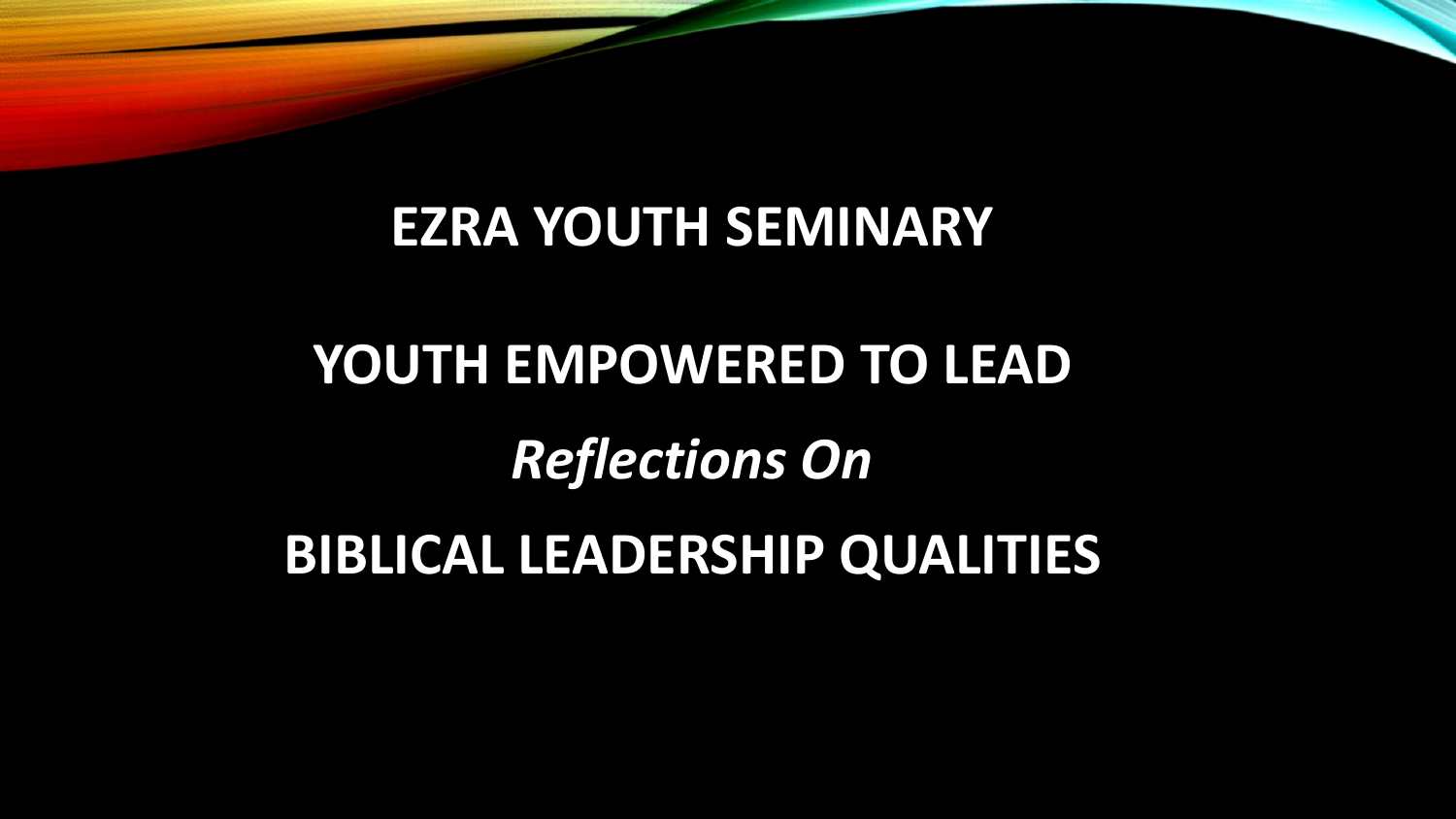## **EZRA YOUTH SEMINARY**

# **YOUTH EMPOWERED TO LEAD**  *Reflections On* **BIBLICAL LEADERSHIP QUALITIES**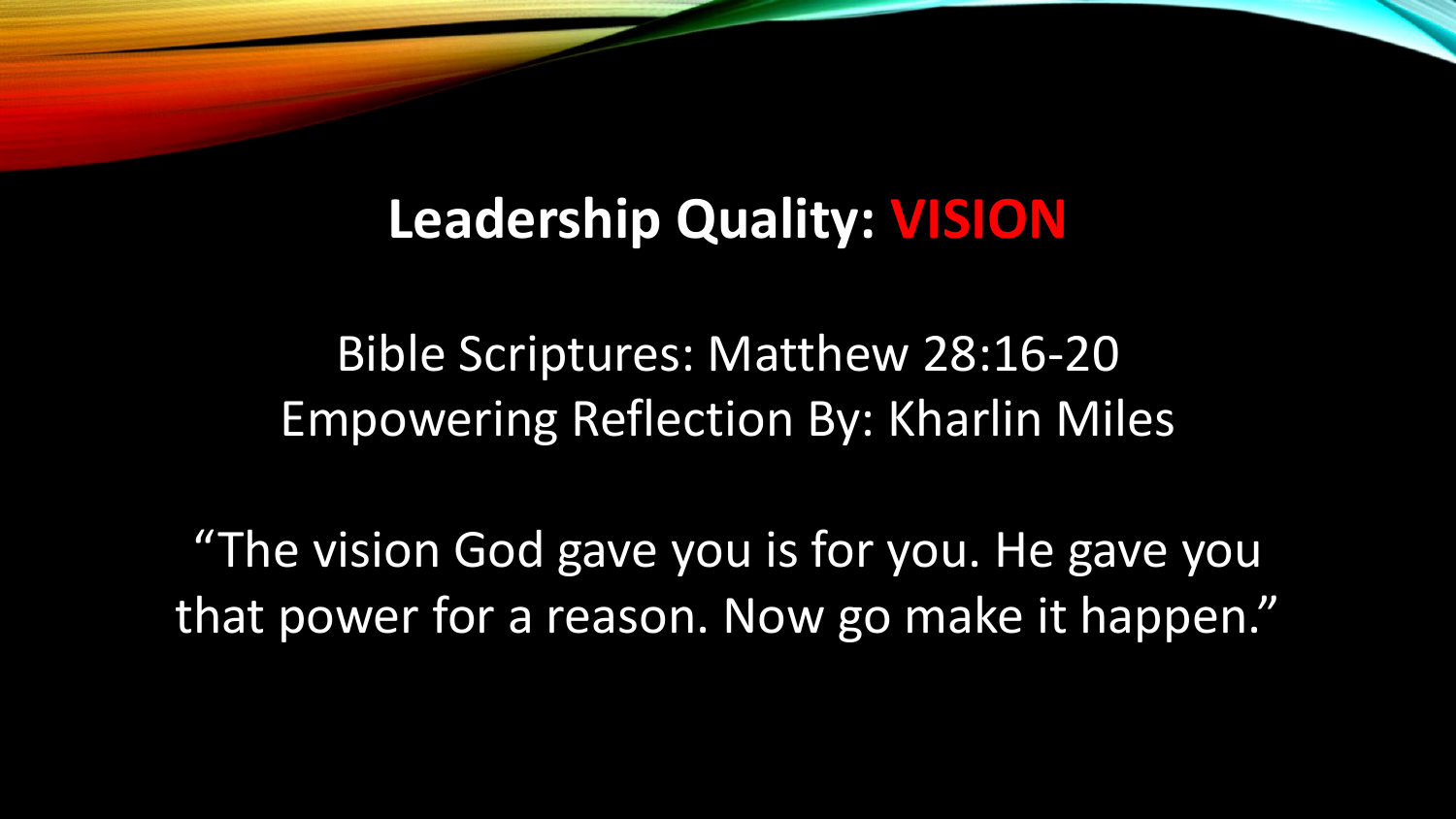## **Leadership Quality: VISION**

Bible Scriptures: Matthew 28:16-20 Empowering Reflection By: Kharlin Miles

"The vision God gave you is for you. He gave you that power for a reason. Now go make it happen."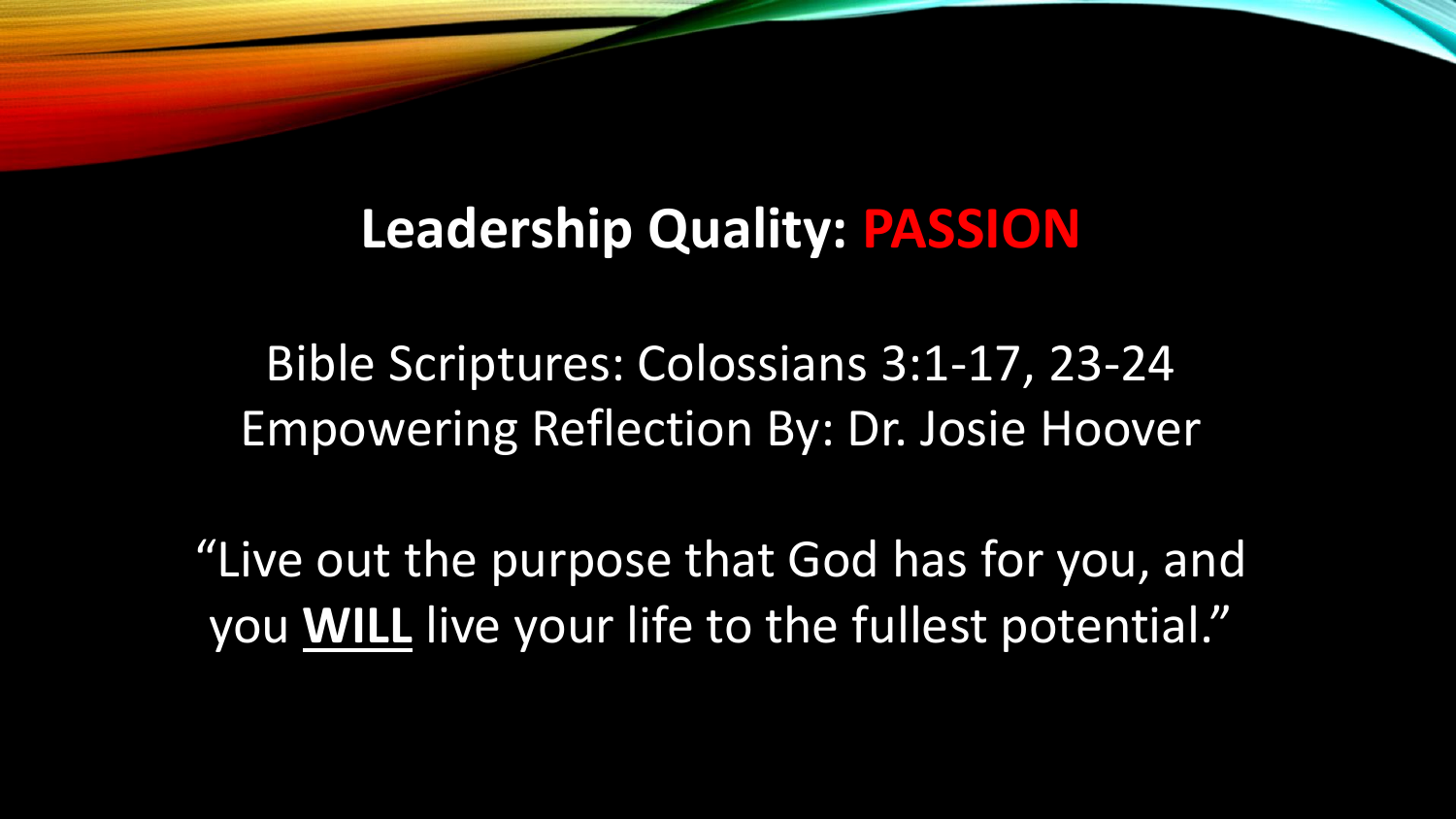## **Leadership Quality: PASSION**

Bible Scriptures: Colossians 3:1-17, 23-24 Empowering Reflection By: Dr. Josie Hoover

"Live out the purpose that God has for you, and you **WILL** live your life to the fullest potential."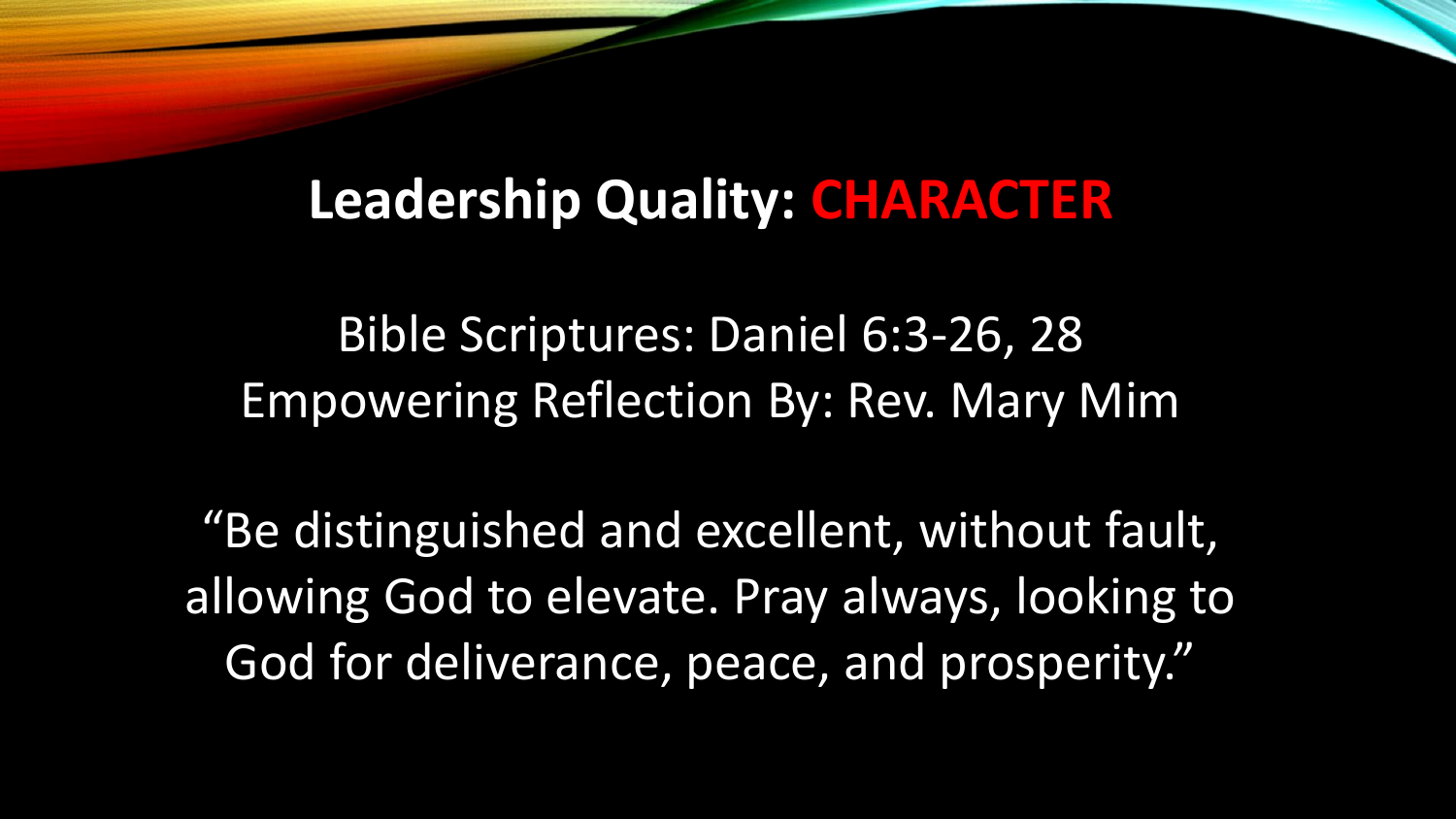## **Leadership Quality: CHARACTER**

Bible Scriptures: Daniel 6:3-26, 28 Empowering Reflection By: Rev. Mary Mim

"Be distinguished and excellent, without fault, allowing God to elevate. Pray always, looking to God for deliverance, peace, and prosperity."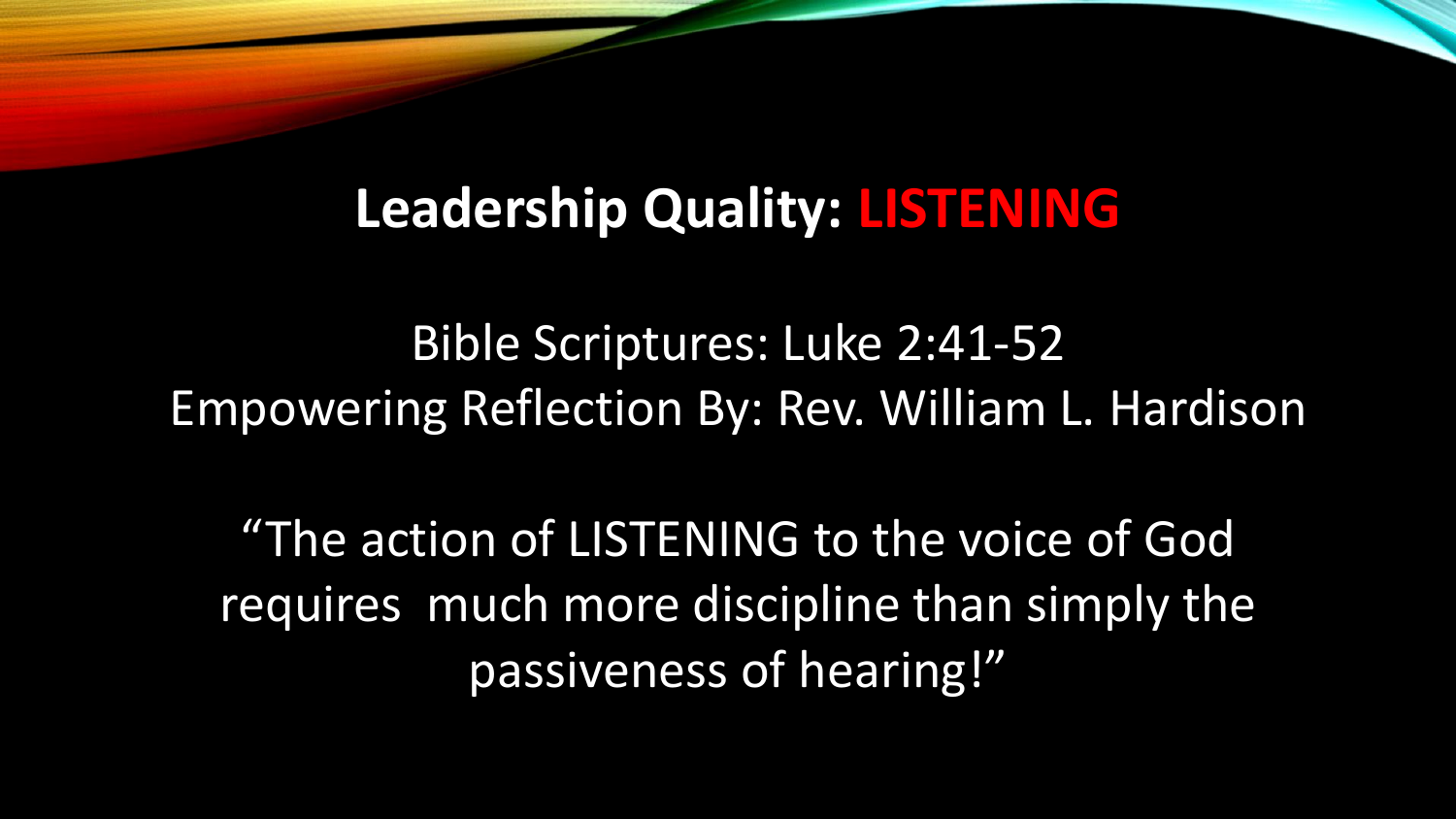# **Leadership Quality: LISTENING**

Bible Scriptures: Luke 2:41-52 Empowering Reflection By: Rev. William L. Hardison

"The action of LISTENING to the voice of God requires much more discipline than simply the passiveness of hearing!"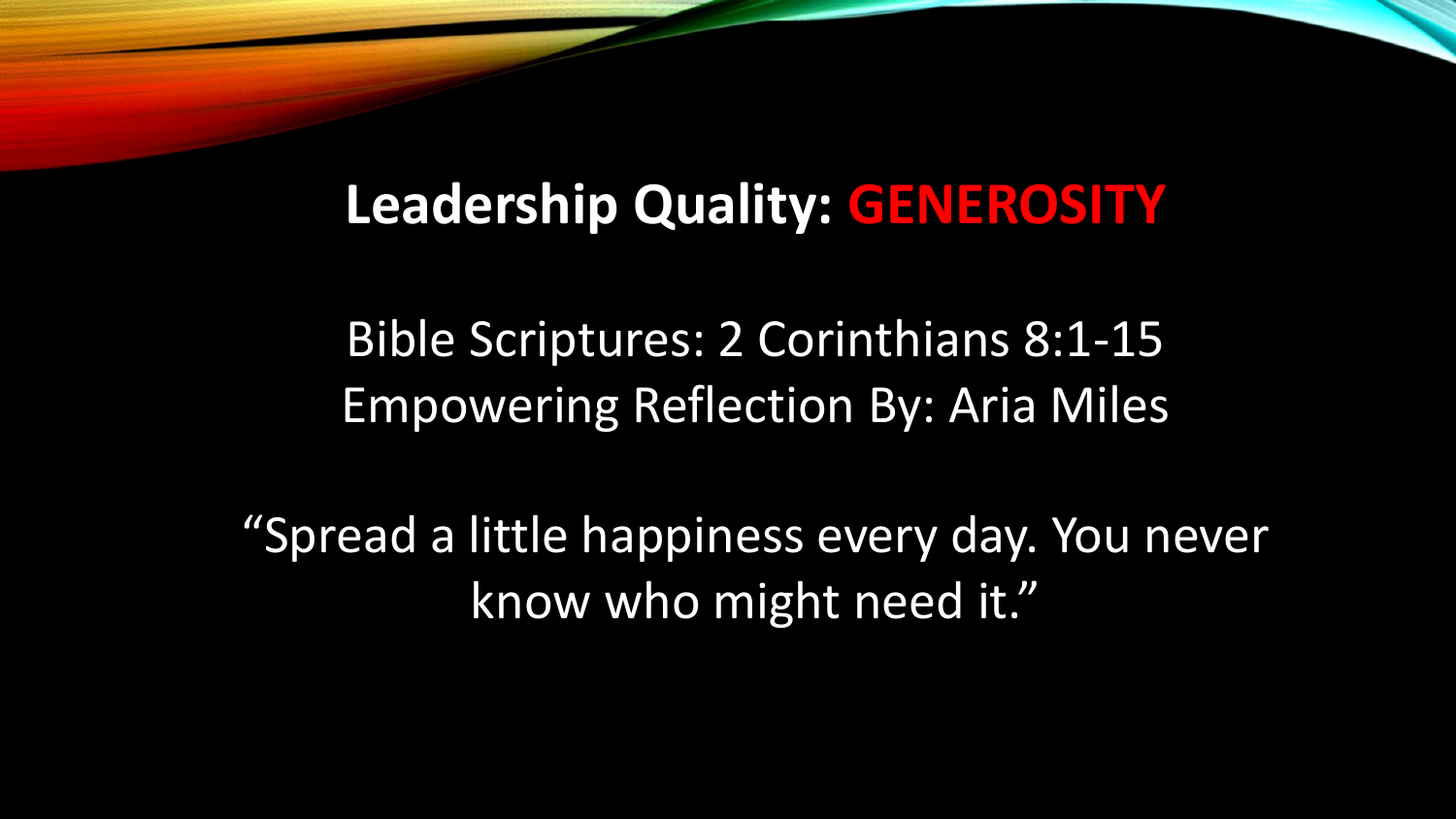# **Leadership Quality: GENEROSITY**

Bible Scriptures: 2 Corinthians 8:1-15 Empowering Reflection By: Aria Miles

"Spread a little happiness every day. You never know who might need it."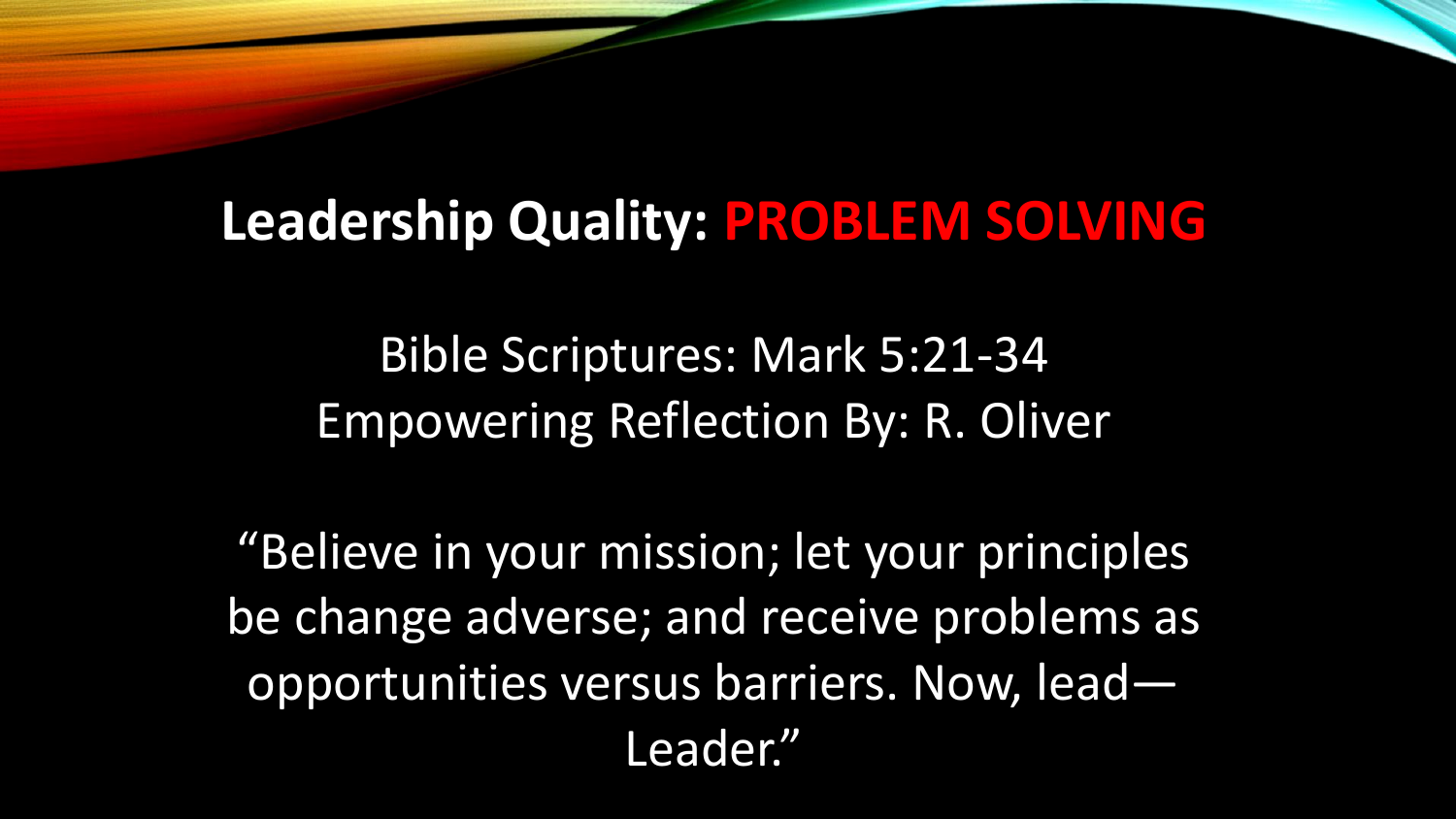## **Leadership Quality: PROBLEM SOLVING**

Bible Scriptures: Mark 5:21-34 Empowering Reflection By: R. Oliver

"Believe in your mission; let your principles be change adverse; and receive problems as opportunities versus barriers. Now, lead— Leader."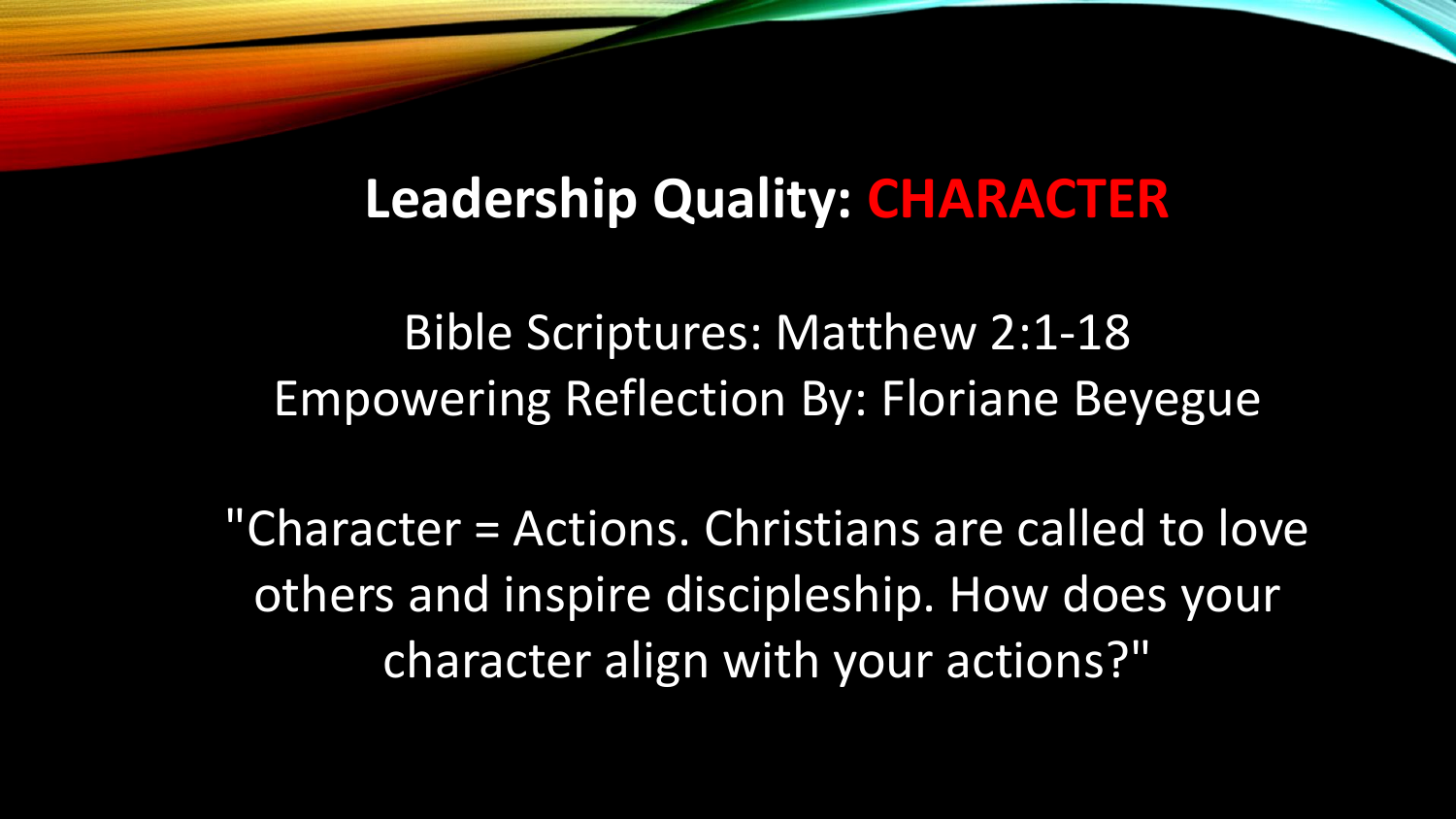#### **Leadership Quality: CHARACTER**

Bible Scriptures: Matthew 2:1-18 Empowering Reflection By: Floriane Beyegue

"Character = Actions. Christians are called to love others and inspire discipleship. How does your character align with your actions?"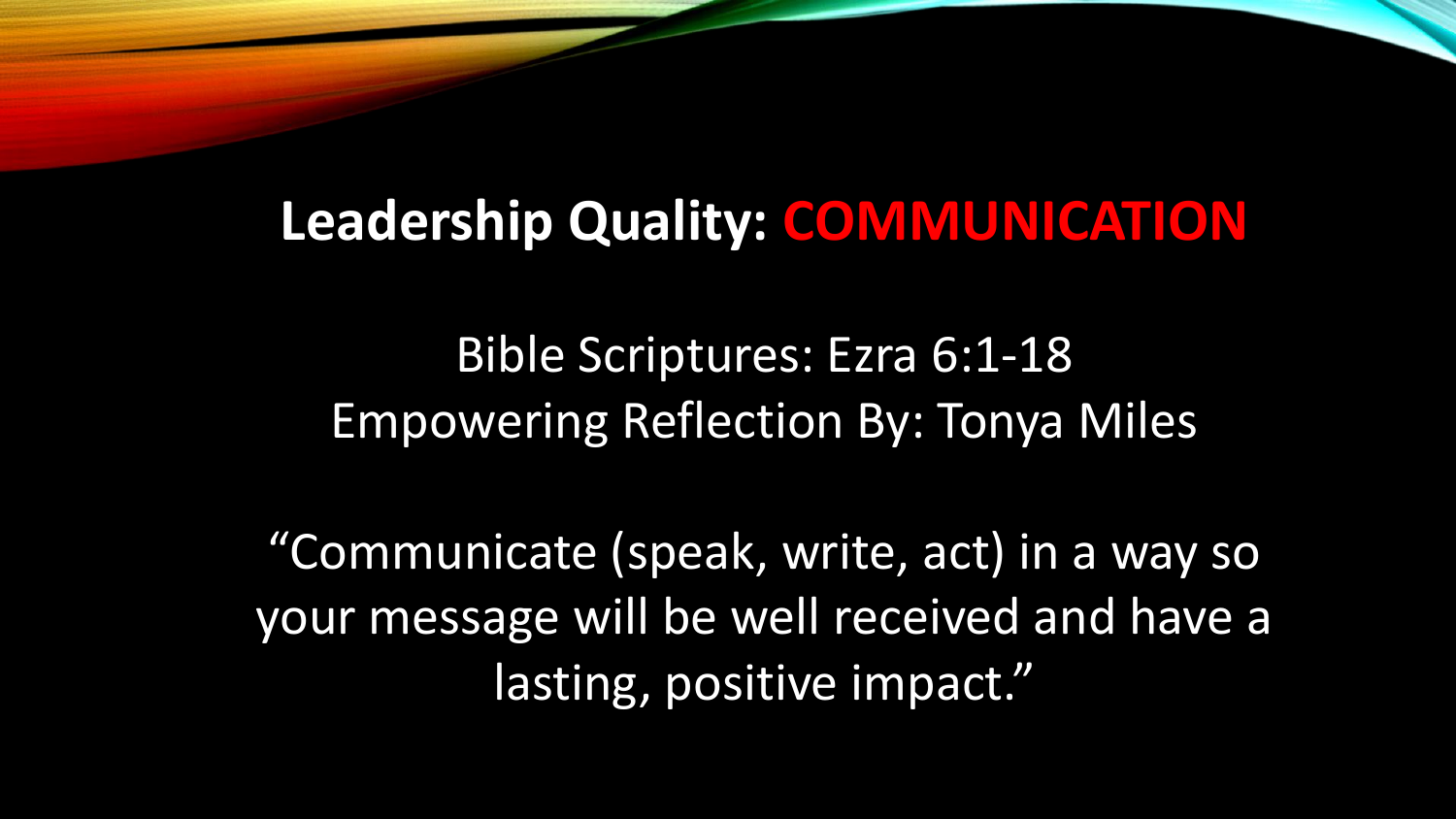## **Leadership Quality: COMMUNICATION**

Bible Scriptures: Ezra 6:1-18 Empowering Reflection By: Tonya Miles

"Communicate (speak, write, act) in a way so your message will be well received and have a lasting, positive impact."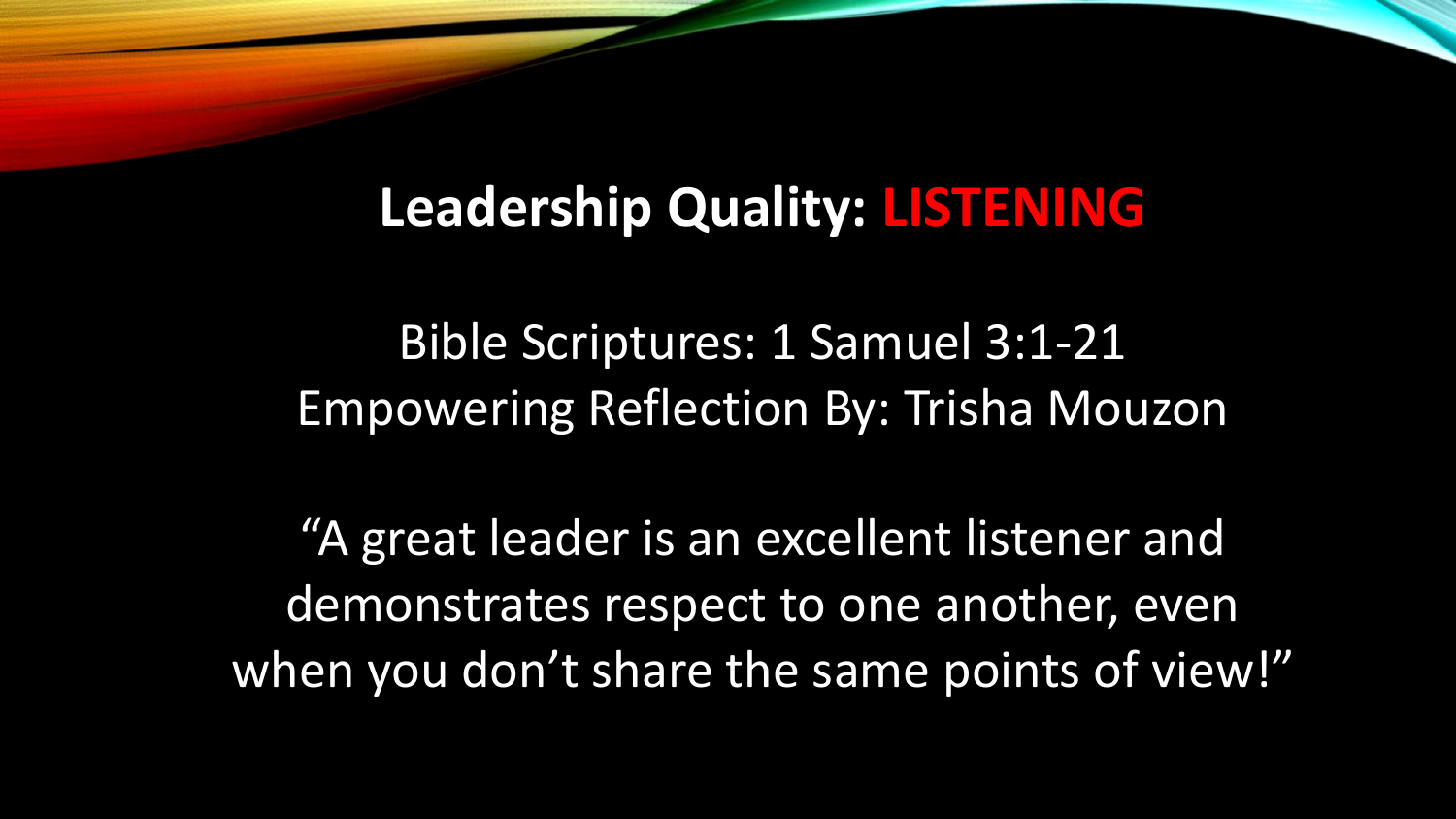# **Leadership Quality: LISTENING**

Bible Scriptures: 1 Samuel 3:1-21 Empowering Reflection By: Trisha Mouzon

"A great leader is an excellent listener and demonstrates respect to one another, even when you don't share the same points of view!"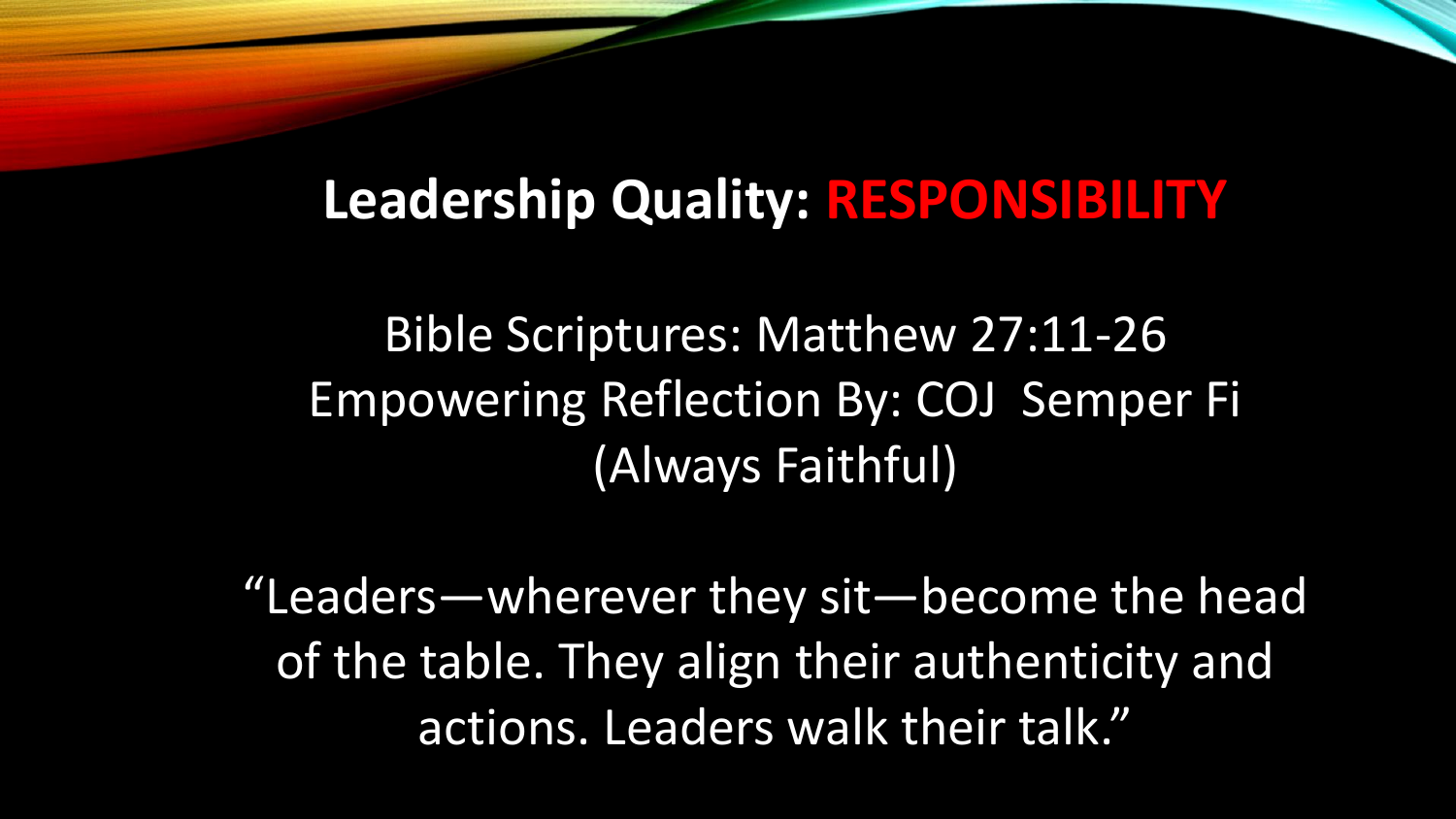## **Leadership Quality: RESPONSIBILITY**

Bible Scriptures: Matthew 27:11-26 Empowering Reflection By: COJ Semper Fi (Always Faithful)

"Leaders—wherever they sit—become the head of the table. They align their authenticity and actions. Leaders walk their talk."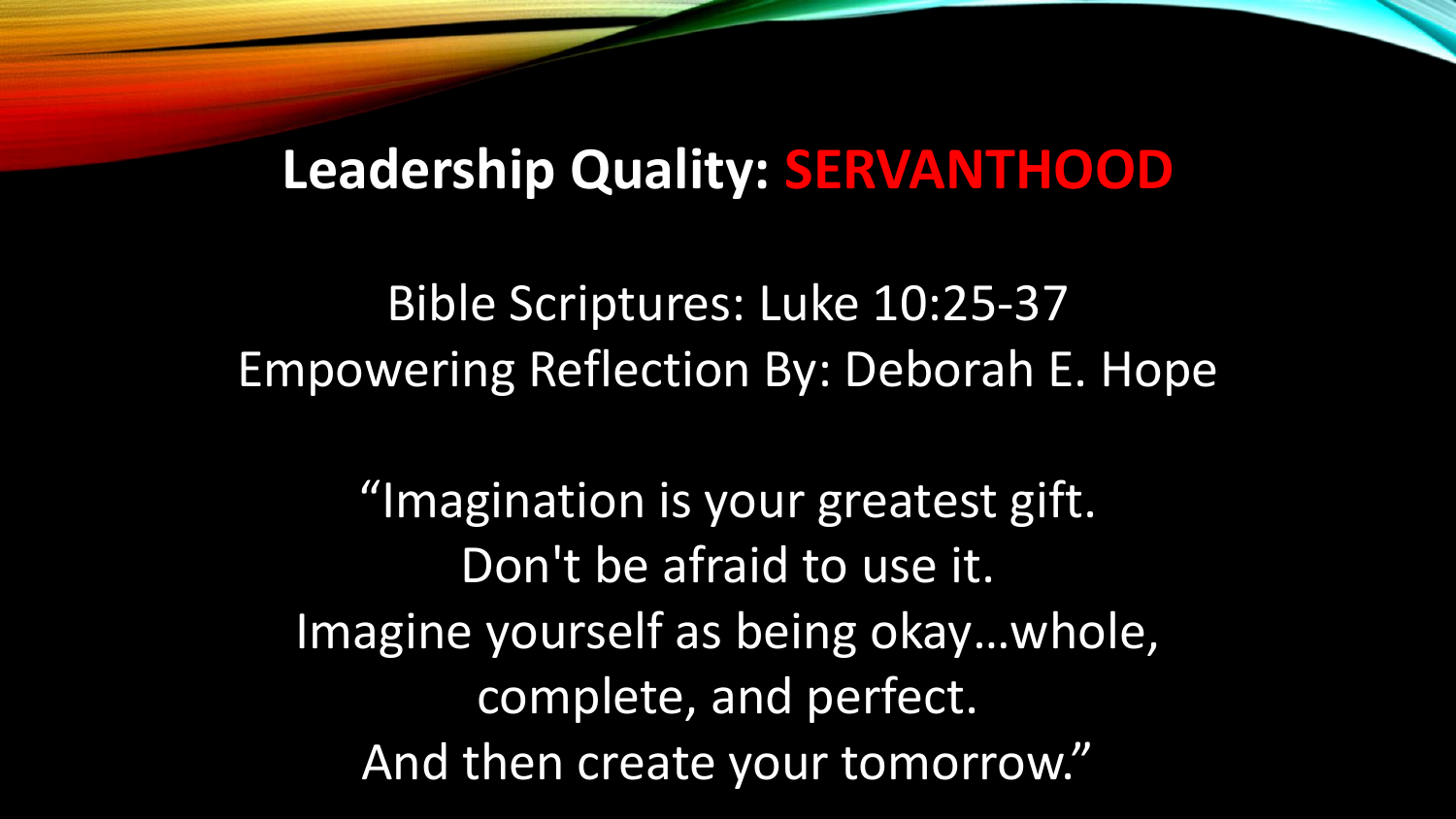# **Leadership Quality: SERVANTHOOD**

Bible Scriptures: Luke 10:25-37 Empowering Reflection By: Deborah E. Hope

"Imagination is your greatest gift. Don't be afraid to use it. Imagine yourself as being okay…whole, complete, and perfect. And then create your tomorrow."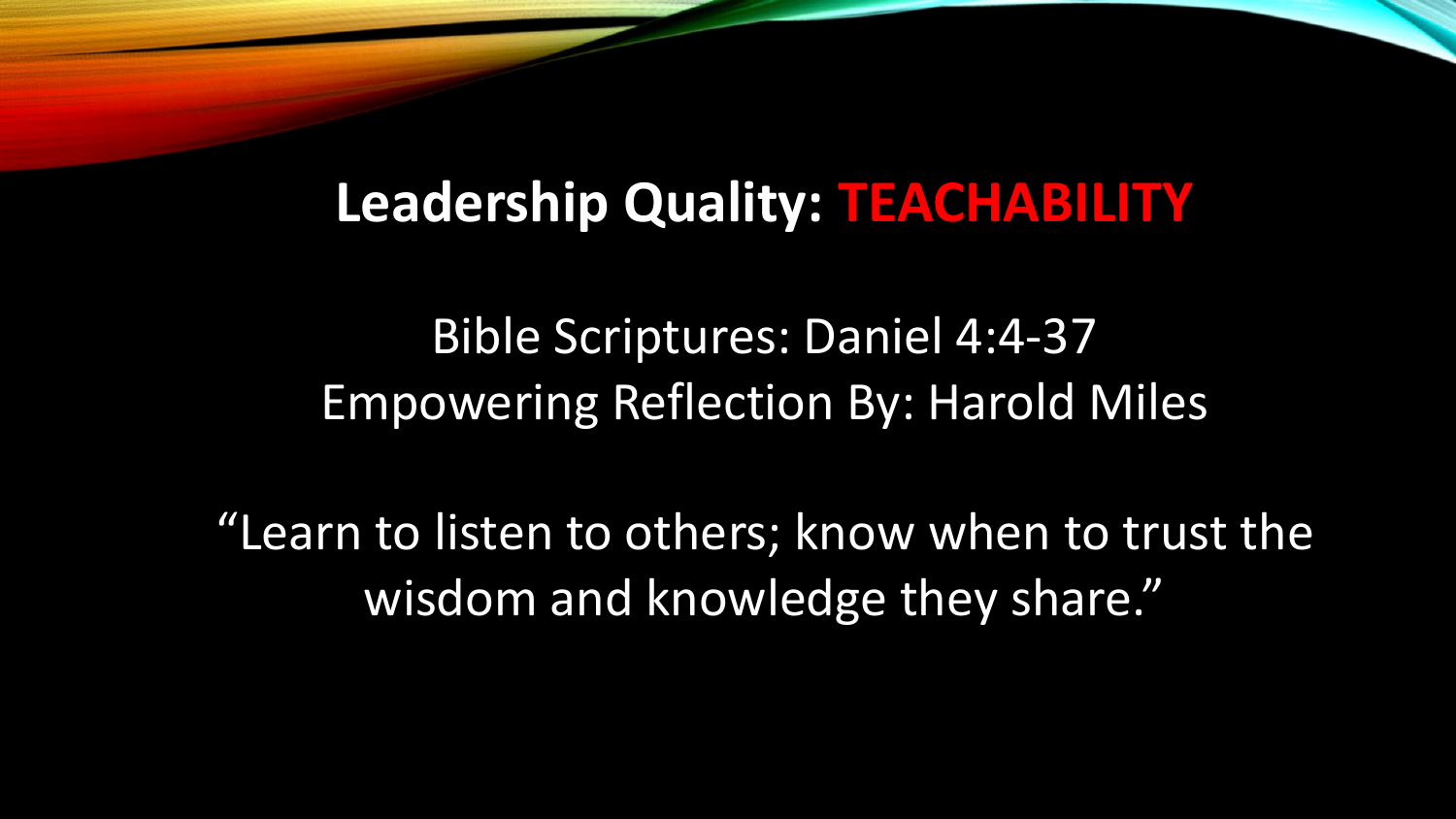#### **Leadership Quality: TEACHABILITY**

Bible Scriptures: Daniel 4:4-37 Empowering Reflection By: Harold Miles

"Learn to listen to others; know when to trust the wisdom and knowledge they share."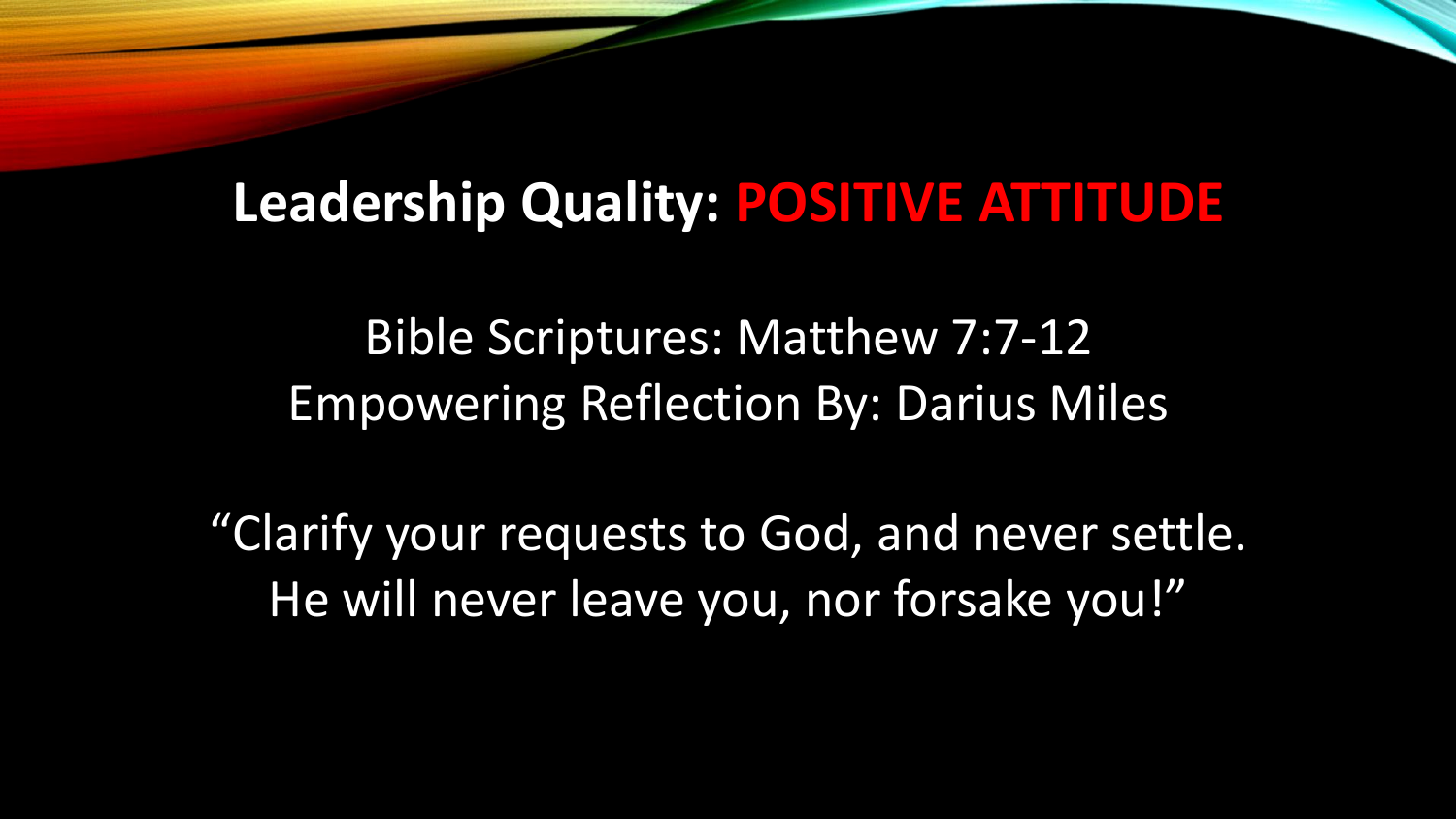#### **Leadership Quality: POSITIVE ATTITUDE**

Bible Scriptures: Matthew 7:7-12 Empowering Reflection By: Darius Miles

"Clarify your requests to God, and never settle. He will never leave you, nor forsake you!"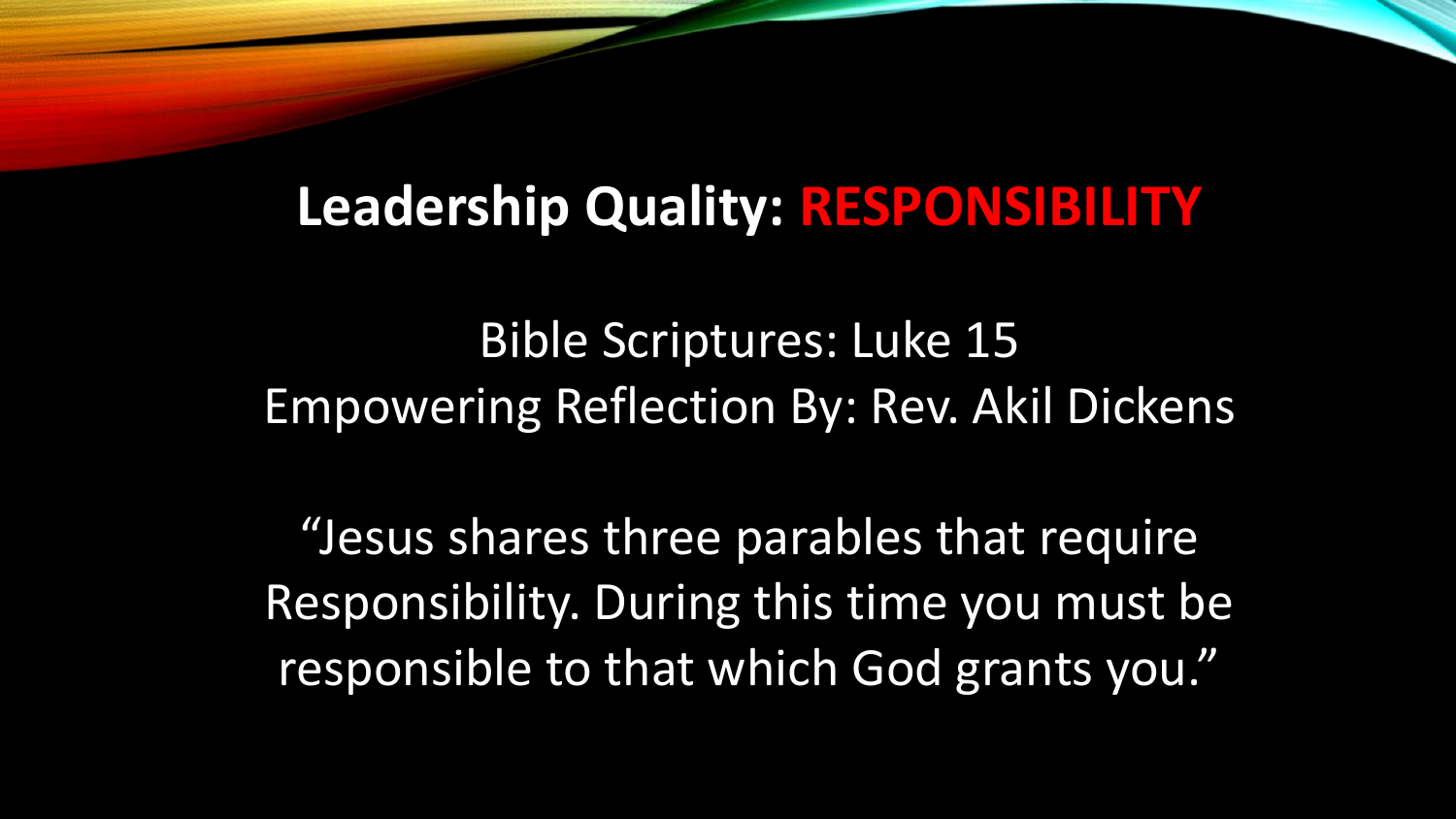## **Leadership Quality: RESPONSIBILITY**

Bible Scriptures: Luke 15 Empowering Reflection By: Rev. Akil Dickens

"Jesus shares three parables that require Responsibility. During this time you must be responsible to that which God grants you."